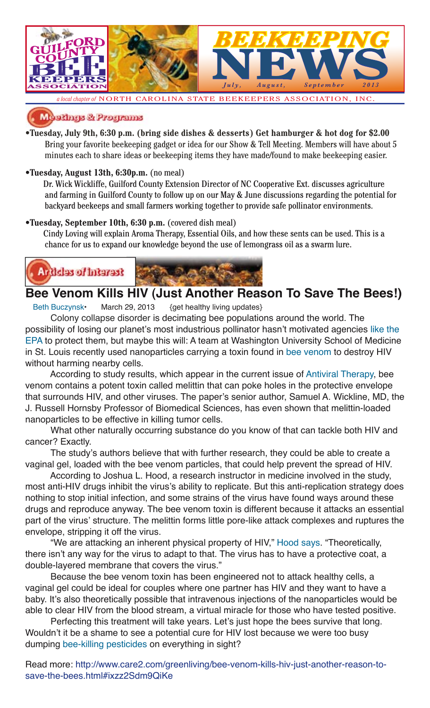

*a local chapter of* NORTH CAROLINA STATE BEEKEEPERS ASSOCIATION, INC.

### ednys & Programs

**•Tuesday, July 9th, 6:30 p.m. (bring side dishes & desserts) Get hamburger & hot dog for \$2.00**  Bring your favorite beekeeping gadget or idea for our Show & Tell Meeting. Members will have about 5 minutes each to share ideas or beekeeping items they have made/found to make beekeeping easier.

### **•Tuesday, August 13th, 6:30p.m.** (no meal)

 Dr. Wick Wickliffe, Guilford County Extension Director of NC Cooperative Ext. discusses agriculture and farming in Guilford County to follow up on our May & June discussions regarding the potential for backyard beekeeps and small farmers working together to provide safe pollinator environments.

### **•Tuesday, September 10th, 6:30 p.m.** (covered dish meal)

 Cindy Loving will explain Aroma Therapy, Essential Oils, and how these sents can be used. This is a chance for us to expand our knowledge beyond the use of lemongrass oil as a swarm lure.



### **Bee Venom Kills HIV (Just Another Reason To Save The Bees!)**

Beth Buczynsk• March 29, 2013 {get healthy living updates}

Colony collapse disorder is decimating bee populations around the world. The possibility of losing our planet's most industrious pollinator hasn't motivated agencies like the EPA to protect them, but maybe this will: A team at Washington University School of Medicine in St. Louis recently used nanoparticles carrying a toxin found in bee venom to destroy HIV without harming nearby cells.

According to study results, which appear in the current issue of Antiviral Therapy, bee venom contains a potent toxin called melittin that can poke holes in the protective envelope that surrounds HIV, and other viruses. The paper's senior author, Samuel A. Wickline, MD, the J. Russell Hornsby Professor of Biomedical Sciences, has even shown that melittin-loaded nanoparticles to be effective in killing tumor cells.

What other naturally occurring substance do you know of that can tackle both HIV and cancer? Exactly.

The study's authors believe that with further research, they could be able to create a vaginal gel, loaded with the bee venom particles, that could help prevent the spread of HIV.

According to Joshua L. Hood, a research instructor in medicine involved in the study, most anti-HIV drugs inhibit the virus's ability to replicate. But this anti-replication strategy does nothing to stop initial infection, and some strains of the virus have found ways around these drugs and reproduce anyway. The bee venom toxin is different because it attacks an essential part of the virus' structure. The melittin forms little pore-like attack complexes and ruptures the envelope, stripping it off the virus.

"We are attacking an inherent physical property of HIV," Hood says. "Theoretically, there isn't any way for the virus to adapt to that. The virus has to have a protective coat, a double-layered membrane that covers the virus."

Because the bee venom toxin has been engineered not to attack healthy cells, a vaginal gel could be ideal for couples where one partner has HIV and they want to have a baby. It's also theoretically possible that intravenous injections of the nanoparticles would be able to clear HIV from the blood stream, a virtual miracle for those who have tested positive.

Perfecting this treatment will take years. Let's just hope the bees survive that long. Wouldn't it be a shame to see a potential cure for HIV lost because we were too busy dumping bee-killing pesticides on everything in sight?

Read more: http://www.care2.com/greenliving/bee-venom-kills-hiv-just-another-reason-tosave-the-bees.html#ixzz2Sdm9QiKe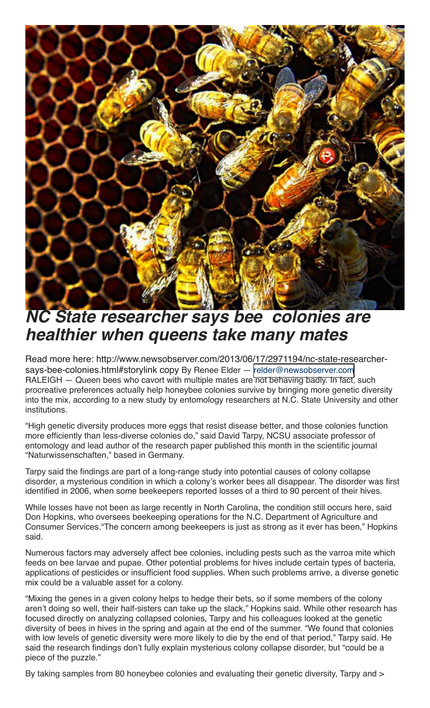

## **NC State researcher says bee colonies are healthier when queens take many mates**

Read more here: http://www.newsobserver.com/2013/06/17/2971194/nc-state-researchersays-bee-colonies.html#storylink copy By Renee Elder — [relder@newsobserver.com](mailto:relder@newsobserver.com) RALEIGH — Queen bees who cavort with multiple mates are not behaving badly. In fact, such procreative preferences actually help honeybee colonies survive by bringing more genetic diversity into the mix, according to a new study by entomology researchers at N.C. State University and other institutions.

"High genetic diversity produces more eggs that resist disease better, and those colonies function more efficiently than less-diverse colonies do," said David Tarpy, NCSU associate professor of entomology and lead author of the research paper published this month in the scientific journal "Naturwissenschaften," based in Germany.

Tarpy said the findings are part of a long-range study into potential causes of colony collapse disorder, a mysterious condition in which a colony's worker bees all disappear. The disorder was first identified in 2006, when some beekeepers reported losses of a third to 90 percent of their hives.

While losses have not been as large recently in North Carolina, the condition still occurs here, said Don Hopkins, who oversees beekeeping operations for the N.C. Department of Agriculture and Consumer Services."The concern among beekeepers is just as strong as it ever has been," Hopkins said.

Numerous factors may adversely affect bee colonies, including pests such as the varroa mite which feeds on bee larvae and pupae. Other potential problems for hives include certain types of bacteria, applications of pesticides or insufficient food supplies. When such problems arrive, a diverse genetic mix could be a valuable asset for a colony.

"Mixing the genes in a given colony helps to hedge their bets, so if some members of the colony aren't doing so well, their half-sisters can take up the slack," Hopkins said. While other research has focused directly on analyzing collapsed colonies, Tarpy and his colleagues looked at the genetic diversity of bees in hives in the spring and again at the end of the summer. "We found that colonies with low levels of genetic diversity were more likely to die by the end of that period," Tarpy said. He said the research findings don't fully explain mysterious colony collapse disorder, but "could be a piece of the puzzle."

By taking samples from 80 honeybee colonies and evaluating their genetic diversity, Tarpy and  $>$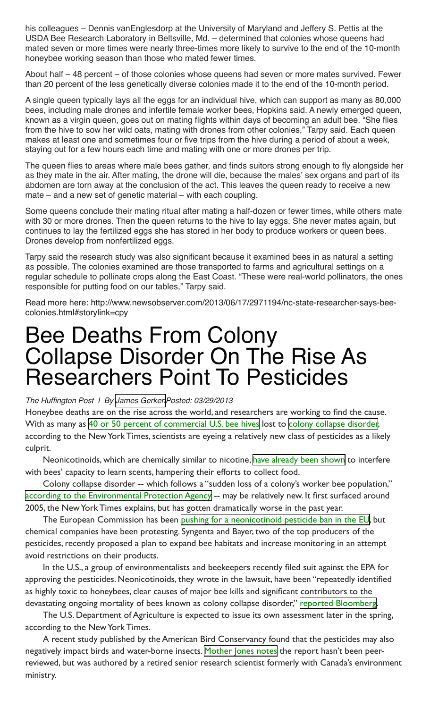his colleagues – Dennis vanEnglesdorp at the University of Maryland and Jeffery S. Pettis at the USDA Bee Research Laboratory in Beltsville, Md. – determined that colonies whose queens had mated seven or more times were nearly three-times more likely to survive to the end of the 10-month honeybee working season than those who mated fewer times.

About half – 48 percent – of those colonies whose queens had seven or more mates survived. Fewer than 20 percent of the less genetically diverse colonies made it to the end of the 10-month period.

A single queen typically lays all the eggs for an individual hive, which can support as many as 80,000 bees, including male drones and infertile female worker bees, Hopkins said. A newly emerged queen, known as a virgin queen, goes out on mating flights within days of becoming an adult bee. "She flies from the hive to sow her wild oats, mating with drones from other colonies," Tarpy said. Each queen makes at least one and sometimes four or five trips from the hive during a period of about a week, staying out for a few hours each time and mating with one or more drones per trip.

The queen flies to areas where male bees gather, and finds suitors strong enough to fly alongside her as they mate in the air. After mating, the drone will die, because the males' sex organs and part of its abdomen are torn away at the conclusion of the act. This leaves the queen ready to receive a new mate – and a new set of genetic material – with each coupling.

Some queens conclude their mating ritual after mating a half-dozen or fewer times, while others mate with 30 or more drones. Then the queen returns to the hive to lay eggs. She never mates again, but continues to lay the fertilized eggs she has stored in her body to produce workers or queen bees. Drones develop from nonfertilized eggs.

Tarpy said the research study was also significant because it examined bees in as natural a setting as possible. The colonies examined are those transported to farms and agricultural settings on a regular schedule to pollinate crops along the East Coast. "These were real-world pollinators, the ones responsible for putting food on our tables," Tarpy said.

Read more here: http://www.newsobserver.com/2013/06/17/2971194/nc-state-researcher-says-beecolonies.html#storylink=cpy

# Bee Deaths From Colony Collapse Disorder On The Rise As Researchers Point To Pesticides

#### The Huffington Post | By [James GerkenP](http://www.huffingtonpost.com/james-gerken)osted: 03/29/2013

Honeybee deaths are on the rise across the world, and researchers are working to find the cause. With as many as [40 or 50 percent of commercial U.S. bee hives](http://www.nytimes.com/2013/03/29/science/earth/soaring-bee-deaths-in-2012-sound-alarm-on-malady.html) lost to [colony collapse disorder](http://www.ars.usda.gov/News/docs.htm?docid=15572), according to the New York Times, scientists are eyeing a relatively new class of pesticides as a likely culprit.

Neonicotinoids, which are chemically similar to nicotine, [have already been shown](http://www.guardian.co.uk/environment/2013/mar/27/pesticide-bees-scent-food-neocotinoid) to interfere with bees' capacity to learn scents, hampering their efforts to collect food.

Colony collapse disorder -- which follows a "sudden loss of a colony's worker bee population," [according to the Environmental Protection Agency](http://www.epa.gov/opp00001/about/intheworks/honeybee.htm) -- may be relatively new. It first surfaced around 2005, the New York Times explains, but has gotten dramatically worse in the past year.

The European Commission has been [pushing for a neonicotinoid pesticide ban in the EU](http://www.huffingtonpost.com/2013/03/28/bayer-pesticide-bees-syngenta_n_2968756.html), but chemical companies have been protesting. Syngenta and Bayer, two of the top producers of the pesticides, recently proposed a plan to expand bee habitats and increase monitoring in an attempt avoid restrictions on their products.

In the U.S., a group of environmentalists and beekeepers recently filed suit against the EPA for approving the pesticides. Neonicotinoids, they wrote in the lawsuit, have been "repeatedly identified as highly toxic to honeybees, clear causes of major bee kills and significant contributors to the devastating ongoing mortality of bees known as colony collapse disorder," [reported Bloomberg.](http://www.bloomberg.com/news/2013-03-22/beekeepers-sue-epa-over-pesticide-approvals.html)

The U.S. Department of Agriculture is expected to issue its own assessment later in the spring, according to the New York Times.

A recent study published by the American Bird Conservancy found that the pesticides may also negatively impact birds and water-borne insects. [Mother Jones notes](http://www.motherjones.com/tom-philpott/2013/03/not-just-bees-bayers-pesticide-may-harm-birds-too) the report hasn't been peerreviewed, but was authored by a retired senior research scientist formerly with Canada's environment ministry.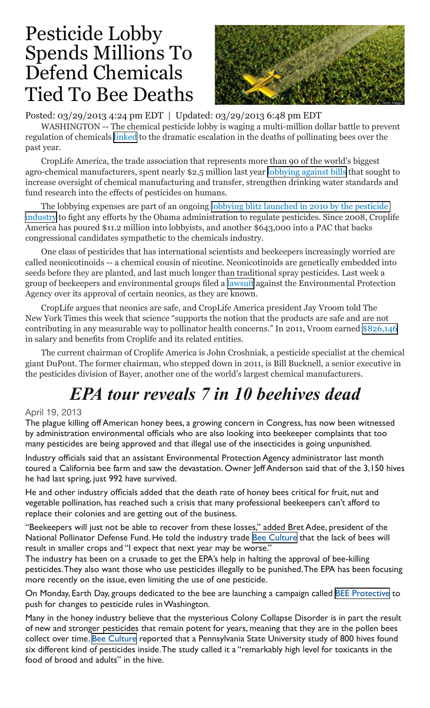## Pesticide Lobby Spends Millions To Defend Chemicals Tied To Bee Deaths



Posted: 03/29/2013 4:24 pm EDT | Updated: 03/29/2013 6:48 pm EDT

WASHINGTON -- The chemical pesticide lobby is waging a multi-million dollar battle to prevent regulation of chemicals [linked](http://www.huffingtonpost.com/2013/03/29/bee-deaths-colony-collapse_n_2979959.html) to the dramatic escalation in the deaths of pollinating bees over the past year.

CropLife America, the trade association that represents more than 90 of the world's biggest agro-chemical manufacturers, spent nearly \$2.5 million last year [lobbying against bills](http://www.opensecrets.org/lobby/clientbills.php?id=D000025187&year=2012) that sought to increase oversight of chemical manufacturing and transfer, strengthen drinking water standards and fund research into the effects of pesticides on humans.

The lobbying expenses are part of an ongoing [lobbying blitz launched in 2010 by the pesticide](http://www.nytimes.com/gwire/2011/02/24/24greenwire-pesticide-industry-ramps-up-lobbying-in-bid-to-42970.html?pagewanted=all)  [industry](http://www.nytimes.com/gwire/2011/02/24/24greenwire-pesticide-industry-ramps-up-lobbying-in-bid-to-42970.html?pagewanted=all) to fight any efforts by the Obama administration to regulate pesticides. Since 2008, Croplife America has poured \$11.2 million into lobbyists, and another \$643,000 into a PAC that backs congressional candidates sympathetic to the chemicals industry.

One class of pesticides that has international scientists and beekeepers increasingly worried are called neonicotinoids -- a chemical cousin of nicotine. Neonicotinoids are genetically embedded into seeds before they are planted, and last much longer than traditional spray pesticides. Last week a group of beekeepers and environmental groups filed a [lawsuit](http://www.nytimes.com/2013/03/29/science/earth/soaring-bee-deaths-in-2012-sound-alarm-on-malady.html?pagewanted=2&_r=0) against the Environmental Protection Agency over its approval of certain neonics, as they are known.

CropLife argues that neonics are safe, and CropLife America president Jay Vroom told The New York Times this week that science "supports the notion that the products are safe and are not contributing in any measurable way to pollinator health concerns." In 2011, Vroom earned [\\$826,146](http://990s.foundationcenter.org/990_pdf_archive/530/530190293/530190293_201112_990O.pdf) in salary and benefits from Croplife and its related entities.

The current chairman of Croplife America is John Croshniak, a pesticide specialist at the chemical giant DuPont. The former chairman, who stepped down in 2011, is Bill Bucknell, a senior executive in the pesticides division of Bayer, another one of the world's largest chemical manufacturers.

# *EPA tour reveals 7 in 10 beehives dead*

### April 19, 2013

The plague killing off American honey bees, a growing concern in Congress, has now been witnessed by administration environmental officials who are also looking into beekeeper complaints that too many pesticides are being approved and that illegal use of the insecticides is going unpunished.

Industry officials said that an assistant Environmental Protection Agency administrator last month toured a California bee farm and saw the devastation. Owner Jeff Anderson said that of the 3,150 hives he had last spring, just 992 have survived.

He and other industry officials added that the death rate of honey bees critical for fruit, nut and vegetable pollination, has reached such a crisis that many professional beekeepers can't afford to replace their colonies and are getting out of the business.

"Beekeepers will just not be able to recover from these losses," added Bret Adee, president of the National Pollinator Defense Fund. He told the industry trade [Bee Culture](http://www.beeculture.com/) that the lack of bees will result in smaller crops and "I expect that next year may be worse."

The industry has been on a crusade to get the EPA's help in halting the approval of bee-killing pesticides. They also want those who use pesticides illegally to be punished. The EPA has been focusing more recently on the issue, even limiting the use of one pesticide.

On Monday, Earth Day, groups dedicated to the bee are launching a campaign called [BEE Protective](http://www.beyondpesticides.org/pollinators/index.php?pid=437) to push for changes to pesticide rules in Washington.

Many in the honey industry believe that the mysterious Colony Collapse Disorder is in part the result of new and stronger pesticides that remain potent for years, meaning that they are in the pollen bees collect over time. [Bee Culture](http://www.beeculture.com/) reported that a Pennsylvania State University study of 800 hives found six different kind of pesticides inside. The study called it a "remarkably high level for toxicants in the food of brood and adults" in the hive.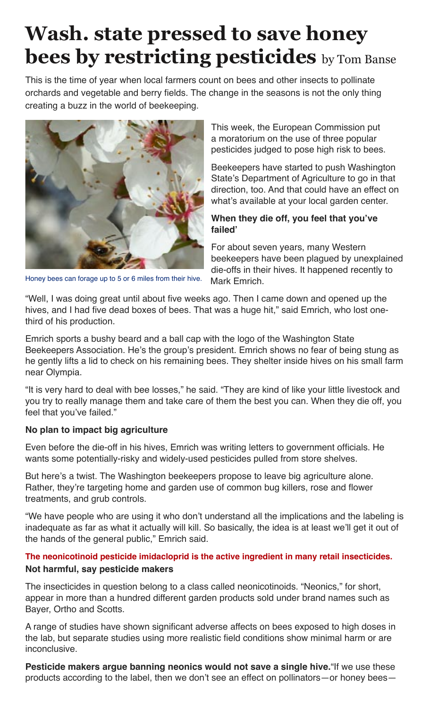# **Wash. state pressed to save honey bees by restricting pesticides** by Tom Banse

This is the time of year when local farmers count on bees and other insects to pollinate orchards and vegetable and berry fields. The change in the seasons is not the only thing creating a buzz in the world of beekeeping.



This week, the European Commission put a moratorium on the use of three popular pesticides judged to pose high risk to bees.

Beekeepers have started to push Washington State's Department of Agriculture to go in that direction, too. And that could have an effect on what's available at your local garden center.

### **When they die off, you feel that you've failed'**

For about seven years, many Western beekeepers have been plagued by unexplained die-offs in their hives. It happened recently to Mark Emrich.

Honey bees can forage up to 5 or 6 miles from their hive.

"Well, I was doing great until about five weeks ago. Then I came down and opened up the hives, and I had five dead boxes of bees. That was a huge hit," said Emrich, who lost onethird of his production.

Emrich sports a bushy beard and a ball cap with the logo of the Washington State Beekeepers Association. He's the group's president. Emrich shows no fear of being stung as he gently lifts a lid to check on his remaining bees. They shelter inside hives on his small farm near Olympia.

"It is very hard to deal with bee losses," he said. "They are kind of like your little livestock and you try to really manage them and take care of them the best you can. When they die off, you feel that you've failed."

### **No plan to impact big agriculture**

Even before the die-off in his hives, Emrich was writing letters to government officials. He wants some potentially-risky and widely-used pesticides pulled from store shelves.

But here's a twist. The Washington beekeepers propose to leave big agriculture alone. Rather, they're targeting home and garden use of common bug killers, rose and flower treatments, and grub controls.

"We have people who are using it who don't understand all the implications and the labeling is inadequate as far as what it actually will kill. So basically, the idea is at least we'll get it out of the hands of the general public," Emrich said.

### **The neonicotinoid pesticide imidacloprid is the active ingredient in many retail insecticides. Not harmful, say pesticide makers**

The insecticides in question belong to a class called neonicotinoids. "Neonics," for short, appear in more than a hundred different garden products sold under brand names such as Bayer, Ortho and Scotts.

A range of studies have shown significant adverse affects on bees exposed to high doses in the lab, but separate studies using more realistic field conditions show minimal harm or are inconclusive.

**Pesticide makers argue banning neonics would not save a single hive.**"If we use these products according to the label, then we don't see an effect on pollinators—or honey bees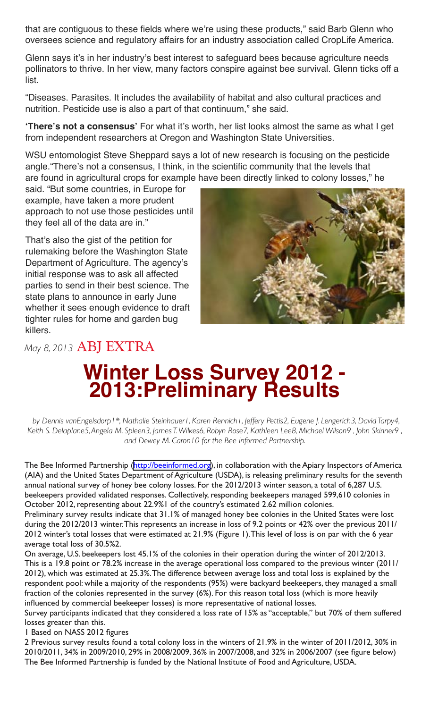that are contiguous to these fields where we're using these products," said Barb Glenn who oversees science and regulatory affairs for an industry association called CropLife America.

Glenn says it's in her industry's best interest to safeguard bees because agriculture needs pollinators to thrive. In her view, many factors conspire against bee survival. Glenn ticks off a list.

"Diseases. Parasites. It includes the availability of habitat and also cultural practices and nutrition. Pesticide use is also a part of that continuum," she said.

**'There's not a consensus'** For what it's worth, her list looks almost the same as what I get from independent researchers at Oregon and Washington State Universities.

WSU entomologist Steve Sheppard says a lot of new research is focusing on the pesticide angle."There's not a consensus, I think, in the scientific community that the levels that are found in agricultural crops for example have been directly linked to colony losses," he

said. "But some countries, in Europe for example, have taken a more prudent approach to not use those pesticides until they feel all of the data are in."

That's also the gist of the petition for rulemaking before the Washington State Department of Agriculture. The agency's initial response was to ask all affected parties to send in their best science. The state plans to announce in early June whether it sees enough evidence to draft tighter rules for home and garden bug killers.

*May 8, 2013* ABJ EXTRA



# **Winter Loss Survey 2012 - 2013:
Preliminary Results**

*by Dennis vanEngelsdorp1\*, Nathalie Steinhauer1, Karen Rennich1, Jeffery Pettis2, Eugene J. Lengerich3, David Tarpy4, Keith S. Delaplane5, Angela M. Spleen3, James T. Wilkes6, Robyn Rose7, Kathleen Lee8, Michael Wilson9 , John Skinner9 , and Dewey M. Caron10 for the Bee Informed Partnership.*

The Bee Informed Partnership ([http://beeinformed.org\)](http://americanbeejournal.us1.list-manage.com/track/click?u=5fd2b1aa990e63193af2a573d&id=2a9fe8d74c&e=15fb405077), in collaboration with the Apiary Inspectors of America (AIA) and the United States Department of Agriculture (USDA), is releasing preliminary results for the seventh annual national survey of honey bee colony losses. For the 2012/2013 winter season, a total of 6,287 U.S. beekeepers provided validated responses. Collectively, responding beekeepers managed 599,610 colonies in October 2012, representing about 22.9%1 of the country's estimated 2.62 million colonies.

Preliminary survey results indicate that 31.1% of managed honey bee colonies in the United States were lost during the 2012/2013 winter. This represents an increase in loss of 9.2 points or 42% over the previous 2011/ 2012 winter's total losses that were estimated at 21.9% (Figure 1). This level of loss is on par with the 6 year average total loss of 30.5%2.

On average, U.S. beekeepers lost 45.1% of the colonies in their operation during the winter of 2012/2013. This is a 19.8 point or 78.2% increase in the average operational loss compared to the previous winter (2011/ 2012), which was estimated at 25.3%. The difference between average loss and total loss is explained by the respondent pool: while a majority of the respondents (95%) were backyard beekeepers, they managed a small fraction of the colonies represented in the survey (6%). For this reason total loss (which is more heavily influenced by commercial beekeeper losses) is more representative of national losses.

Survey participants indicated that they considered a loss rate of 15% as "acceptable," but 70% of them suffered losses greater than this.

1 Based on NASS 2012 figures

2 Previous survey results found a total colony loss in the winters of 21.9% in the winter of 2011/2012, 30% in 2010/2011, 34% in 2009/2010, 29% in 2008/2009, 36% in 2007/2008, and 32% in 2006/2007 (see figure below) The Bee Informed Partnership is funded by the National Institute of Food and Agriculture, USDA.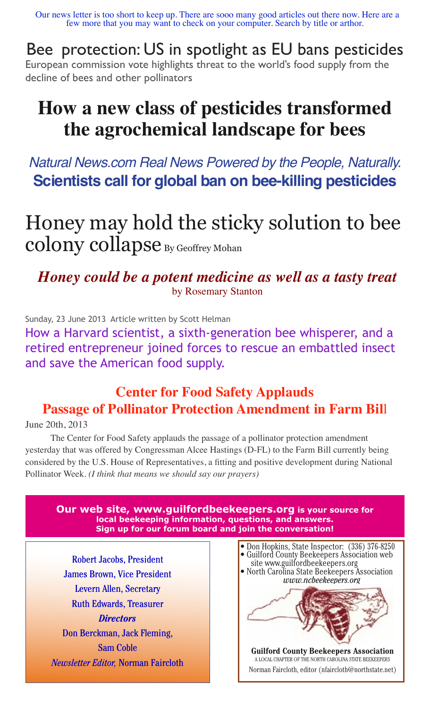Our news letter is too short to keep up. There are sooo many good articles out there now. Here are a few more that you may want to check on your computer. Search by title or arthor.

Bee protection: US in spotlight as EU bans pesticides European commission vote highlights threat to the world's food supply from the decline of bees and other pollinators

## **How a new class of pesticides transformed the agrochemical landscape for bees**

Natural News.com Real News Powered by the People, Naturally. **Scientists call for global ban on bee-killing pesticides**

Honey may hold the sticky solution to bee  $\operatorname{colony} \operatorname{collapse}_{\text{By Geoffrey Mohan}}$ 

*Honey could be a potent medicine as well as a tasty treat* by Rosemary Stanton

Sunday, 23 June 2013 Article written by Scott Helman

How a Harvard scientist, a sixth-generation bee whisperer, and a retired entrepreneur joined forces to rescue an embattled insect and save the American food supply.

## **Center for Food Safety Applauds Passage of Pollinator Protection Amendment in Farm Bil**l

June 20th, 2013

The Center for Food Safety applauds the passage of a pollinator protection amendment yesterday that was offered by Congressman Alcee Hastings (D-FL) to the Farm Bill currently being considered by the U.S. House of Representatives, a fitting and positive development during National Pollinator Week. *(I think that means we should say our prayers)*

**Our web site, www.guilfordbeekeepers.org is your source for local beekeeping information, questions, and answers. Sign up for our forum board and join the conversation!**

Robert Jacobs, President James Brown, Vice President Levern Allen, Secretary Ruth Edwards, Treasurer *Directors* Don Berckman, Jack Fleming, Sam Coble *Newsletter Editor,* Norman Faircloth



A LOCAL CHAPTER OF THE NORTH CAROLINA STATE BEEKEEPERS Norman Faircloth, editor (nfaircloth@northstate.net)